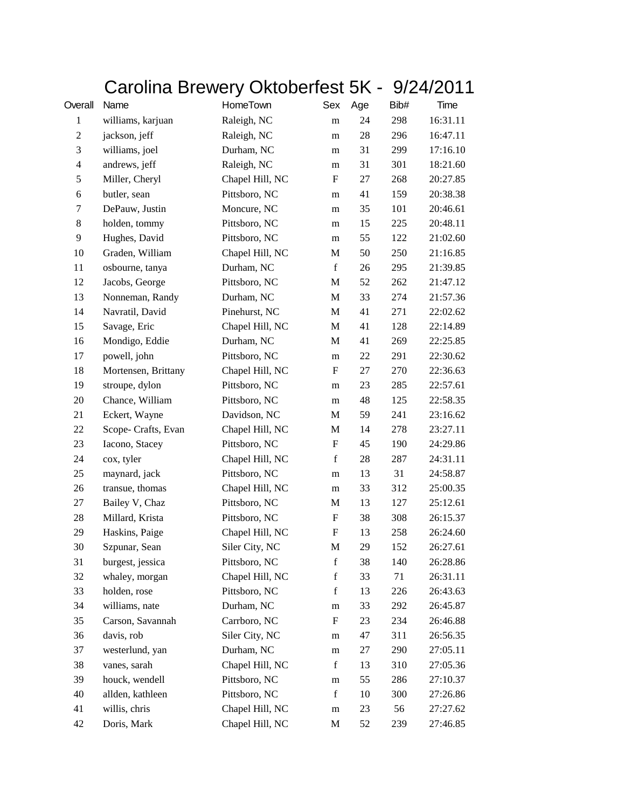| Carolina Brewery Oktoberfest 5K - 9/24/2011 |  |  |
|---------------------------------------------|--|--|
|---------------------------------------------|--|--|

| Overall        | Name                | HomeTown        | Sex              | Age | Bib# | Time     |
|----------------|---------------------|-----------------|------------------|-----|------|----------|
| $\mathbf{1}$   | williams, karjuan   | Raleigh, NC     | m                | 24  | 298  | 16:31.11 |
| $\overline{c}$ | jackson, jeff       | Raleigh, NC     | m                | 28  | 296  | 16:47.11 |
| 3              | williams, joel      | Durham, NC      | m                | 31  | 299  | 17:16.10 |
| 4              | andrews, jeff       | Raleigh, NC     | m                | 31  | 301  | 18:21.60 |
| 5              | Miller, Cheryl      | Chapel Hill, NC | F                | 27  | 268  | 20:27.85 |
| 6              | butler, sean        | Pittsboro, NC   | m                | 41  | 159  | 20:38.38 |
| 7              | DePauw, Justin      | Moncure, NC     | m                | 35  | 101  | 20:46.61 |
| 8              | holden, tommy       | Pittsboro, NC   | m                | 15  | 225  | 20:48.11 |
| 9              | Hughes, David       | Pittsboro, NC   | m                | 55  | 122  | 21:02.60 |
| 10             | Graden, William     | Chapel Hill, NC | M                | 50  | 250  | 21:16.85 |
| 11             | osbourne, tanya     | Durham, NC      | $\mathbf f$      | 26  | 295  | 21:39.85 |
| 12             | Jacobs, George      | Pittsboro, NC   | M                | 52  | 262  | 21:47.12 |
| 13             | Nonneman, Randy     | Durham, NC      | M                | 33  | 274  | 21:57.36 |
| 14             | Navratil, David     | Pinehurst, NC   | $\mathbf M$      | 41  | 271  | 22:02.62 |
| 15             | Savage, Eric        | Chapel Hill, NC | M                | 41  | 128  | 22:14.89 |
| 16             | Mondigo, Eddie      | Durham, NC      | M                | 41  | 269  | 22:25.85 |
| 17             | powell, john        | Pittsboro, NC   | m                | 22  | 291  | 22:30.62 |
| 18             | Mortensen, Brittany | Chapel Hill, NC | ${\bf F}$        | 27  | 270  | 22:36.63 |
| 19             | stroupe, dylon      | Pittsboro, NC   | m                | 23  | 285  | 22:57.61 |
| 20             | Chance, William     | Pittsboro, NC   | m                | 48  | 125  | 22:58.35 |
| 21             | Eckert, Wayne       | Davidson, NC    | M                | 59  | 241  | 23:16.62 |
| $22\,$         | Scope- Crafts, Evan | Chapel Hill, NC | M                | 14  | 278  | 23:27.11 |
| 23             | Iacono, Stacey      | Pittsboro, NC   | F                | 45  | 190  | 24:29.86 |
| 24             | cox, tyler          | Chapel Hill, NC | $\mathbf f$      | 28  | 287  | 24:31.11 |
| 25             | maynard, jack       | Pittsboro, NC   | m                | 13  | 31   | 24:58.87 |
| 26             | transue, thomas     | Chapel Hill, NC | m                | 33  | 312  | 25:00.35 |
| 27             | Bailey V, Chaz      | Pittsboro, NC   | M                | 13  | 127  | 25:12.61 |
| 28             | Millard, Krista     | Pittsboro, NC   | $\boldsymbol{F}$ | 38  | 308  | 26:15.37 |
| 29             | Haskins, Paige      | Chapel Hill, NC | F                | 13  | 258  | 26:24.60 |
| 30             | Szpunar, Sean       | Siler City, NC  | M                | 29  | 152  | 26:27.61 |
| 31             | burgest, jessica    | Pittsboro, NC   | $\mathbf f$      | 38  | 140  | 26:28.86 |
| 32             | whaley, morgan      | Chapel Hill, NC | $\mathbf f$      | 33  | 71   | 26:31.11 |
| 33             | holden, rose        | Pittsboro, NC   | f                | 13  | 226  | 26:43.63 |
| 34             | williams, nate      | Durham, NC      | m                | 33  | 292  | 26:45.87 |
| 35             | Carson, Savannah    | Carrboro, NC    | F                | 23  | 234  | 26:46.88 |
| 36             | davis, rob          | Siler City, NC  | m                | 47  | 311  | 26:56.35 |
| 37             | westerlund, yan     | Durham, NC      | m                | 27  | 290  | 27:05.11 |
| 38             | vanes, sarah        | Chapel Hill, NC | f                | 13  | 310  | 27:05.36 |
| 39             | houck, wendell      | Pittsboro, NC   | m                | 55  | 286  | 27:10.37 |
| 40             | allden, kathleen    | Pittsboro, NC   | $\mathbf f$      | 10  | 300  | 27:26.86 |
| 41             | willis, chris       | Chapel Hill, NC | ${\bf m}$        | 23  | 56   | 27:27.62 |
| 42             | Doris, Mark         | Chapel Hill, NC | M                | 52  | 239  | 27:46.85 |
|                |                     |                 |                  |     |      |          |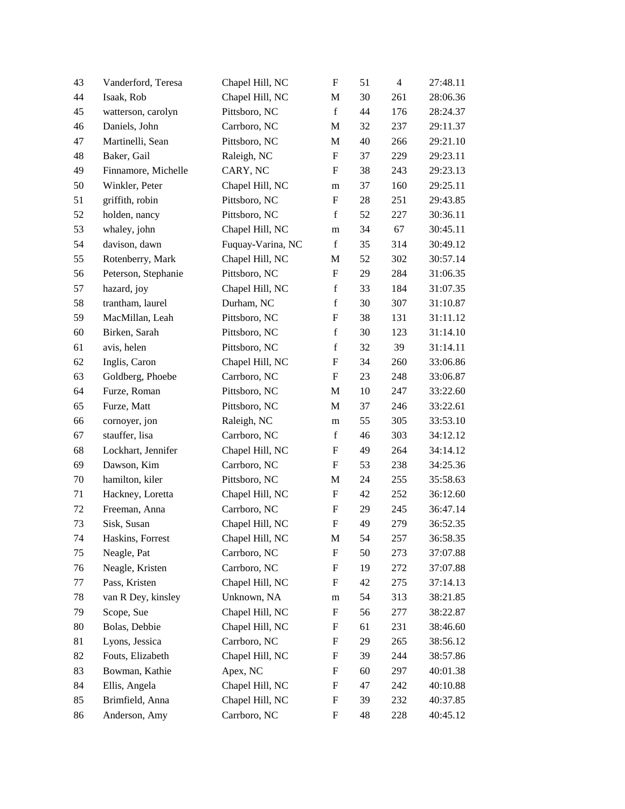| 43 | Vanderford, Teresa  | Chapel Hill, NC   | $\boldsymbol{\mathrm{F}}$ | 51 | $\overline{4}$ | 27:48.11 |
|----|---------------------|-------------------|---------------------------|----|----------------|----------|
| 44 | Isaak, Rob          | Chapel Hill, NC   | M                         | 30 | 261            | 28:06.36 |
| 45 | watterson, carolyn  | Pittsboro, NC     | $\mathbf f$               | 44 | 176            | 28:24.37 |
| 46 | Daniels, John       | Carrboro, NC      | M                         | 32 | 237            | 29:11.37 |
| 47 | Martinelli, Sean    | Pittsboro, NC     | $\mathbf M$               | 40 | 266            | 29:21.10 |
| 48 | Baker, Gail         | Raleigh, NC       | $\boldsymbol{\mathrm{F}}$ | 37 | 229            | 29:23.11 |
| 49 | Finnamore, Michelle | CARY, NC          | F                         | 38 | 243            | 29:23.13 |
| 50 | Winkler, Peter      | Chapel Hill, NC   | m                         | 37 | 160            | 29:25.11 |
| 51 | griffith, robin     | Pittsboro, NC     | $\boldsymbol{\mathrm{F}}$ | 28 | 251            | 29:43.85 |
| 52 | holden, nancy       | Pittsboro, NC     | $\mathbf f$               | 52 | 227            | 30:36.11 |
| 53 | whaley, john        | Chapel Hill, NC   | ${\bf m}$                 | 34 | 67             | 30:45.11 |
| 54 | davison, dawn       | Fuquay-Varina, NC | $\mathbf f$               | 35 | 314            | 30:49.12 |
| 55 | Rotenberry, Mark    | Chapel Hill, NC   | M                         | 52 | 302            | 30:57.14 |
| 56 | Peterson, Stephanie | Pittsboro, NC     | $\boldsymbol{\mathrm{F}}$ | 29 | 284            | 31:06.35 |
| 57 | hazard, joy         | Chapel Hill, NC   | $\mathbf f$               | 33 | 184            | 31:07.35 |
| 58 | trantham, laurel    | Durham, NC        | $\mathbf f$               | 30 | 307            | 31:10.87 |
| 59 | MacMillan, Leah     | Pittsboro, NC     | $\boldsymbol{\mathrm{F}}$ | 38 | 131            | 31:11.12 |
| 60 | Birken, Sarah       | Pittsboro, NC     | $\mathbf f$               | 30 | 123            | 31:14.10 |
| 61 | avis, helen         | Pittsboro, NC     | $\mathbf f$               | 32 | 39             | 31:14.11 |
| 62 | Inglis, Caron       | Chapel Hill, NC   | F                         | 34 | 260            | 33:06.86 |
| 63 | Goldberg, Phoebe    | Carrboro, NC      | $\boldsymbol{\mathrm{F}}$ | 23 | 248            | 33:06.87 |
| 64 | Furze, Roman        | Pittsboro, NC     | M                         | 10 | 247            | 33:22.60 |
| 65 | Furze, Matt         | Pittsboro, NC     | $\mathbf M$               | 37 | 246            | 33:22.61 |
| 66 | cornoyer, jon       | Raleigh, NC       | m                         | 55 | 305            | 33:53.10 |
| 67 | stauffer, lisa      | Carrboro, NC      | $\mathbf f$               | 46 | 303            | 34:12.12 |
| 68 | Lockhart, Jennifer  | Chapel Hill, NC   | $\boldsymbol{\mathrm{F}}$ | 49 | 264            | 34:14.12 |
| 69 | Dawson, Kim         | Carrboro, NC      | F                         | 53 | 238            | 34:25.36 |
| 70 | hamilton, kiler     | Pittsboro, NC     | M                         | 24 | 255            | 35:58.63 |
| 71 | Hackney, Loretta    | Chapel Hill, NC   | ${\bf F}$                 | 42 | 252            | 36:12.60 |
| 72 | Freeman, Anna       | Carrboro, NC      | F                         | 29 | 245            | 36:47.14 |
| 73 | Sisk, Susan         | Chapel Hill, NC   | $\boldsymbol{\mathrm{F}}$ | 49 | 279            | 36:52.35 |
| 74 | Haskins, Forrest    | Chapel Hill, NC   | M                         | 54 | 257            | 36:58.35 |
| 75 | Neagle, Pat         | Carrboro, NC      | $\boldsymbol{\mathrm{F}}$ | 50 | 273            | 37:07.88 |
| 76 | Neagle, Kristen     | Carrboro, NC      | F                         | 19 | 272            | 37:07.88 |
| 77 | Pass, Kristen       | Chapel Hill, NC   | F                         | 42 | 275            | 37:14.13 |
| 78 | van R Dey, kinsley  | Unknown, NA       | m                         | 54 | 313            | 38:21.85 |
| 79 | Scope, Sue          | Chapel Hill, NC   | F                         | 56 | 277            | 38:22.87 |
| 80 | Bolas, Debbie       | Chapel Hill, NC   | F                         | 61 | 231            | 38:46.60 |
| 81 | Lyons, Jessica      | Carrboro, NC      | F                         | 29 | 265            | 38:56.12 |
| 82 | Fouts, Elizabeth    | Chapel Hill, NC   | F                         | 39 | 244            | 38:57.86 |
| 83 | Bowman, Kathie      | Apex, NC          | F                         | 60 | 297            | 40:01.38 |
| 84 | Ellis, Angela       | Chapel Hill, NC   | F                         | 47 | 242            | 40:10.88 |
| 85 | Brimfield, Anna     | Chapel Hill, NC   | $\boldsymbol{\mathrm{F}}$ | 39 | 232            | 40:37.85 |
| 86 | Anderson, Amy       | Carrboro, NC      | F                         | 48 | 228            | 40:45.12 |